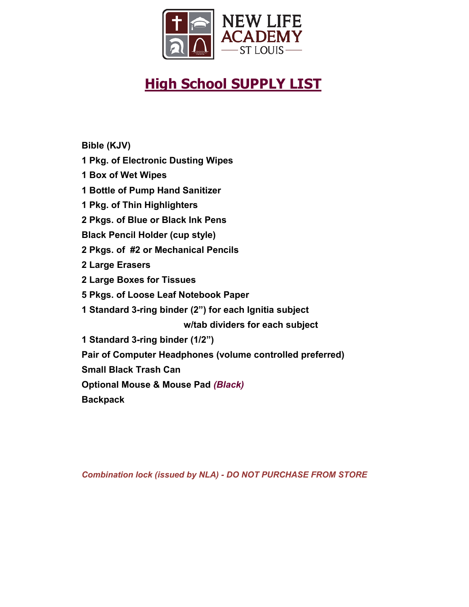

# **High School SUPPLY LIST**

**Bible (KJV)**

- **1 Pkg. of Electronic Dusting Wipes**
- **1 Box of Wet Wipes**
- **1 Bottle of Pump Hand Sanitizer**
- **1 Pkg. of Thin Highlighters**
- **2 Pkgs. of Blue or Black Ink Pens**
- **Black Pencil Holder (cup style)**
- **2 Pkgs. of #2 or Mechanical Pencils**
- **2 Large Erasers**
- **2 Large Boxes for Tissues**
- **5 Pkgs. of Loose Leaf Notebook Paper**
- **1 Standard 3-ring binder (2") for each Ignitia subject**

 **w/tab dividers for each subject**

- **1 Standard 3-ring binder (1/2")**
- **Pair of Computer Headphones (volume controlled preferred)**
- **Small Black Trash Can**
- **Optional Mouse & Mouse Pad** *(Black)*
- **Backpack**

*Combination lock (issued by NLA) - DO NOT PURCHASE FROM STORE*